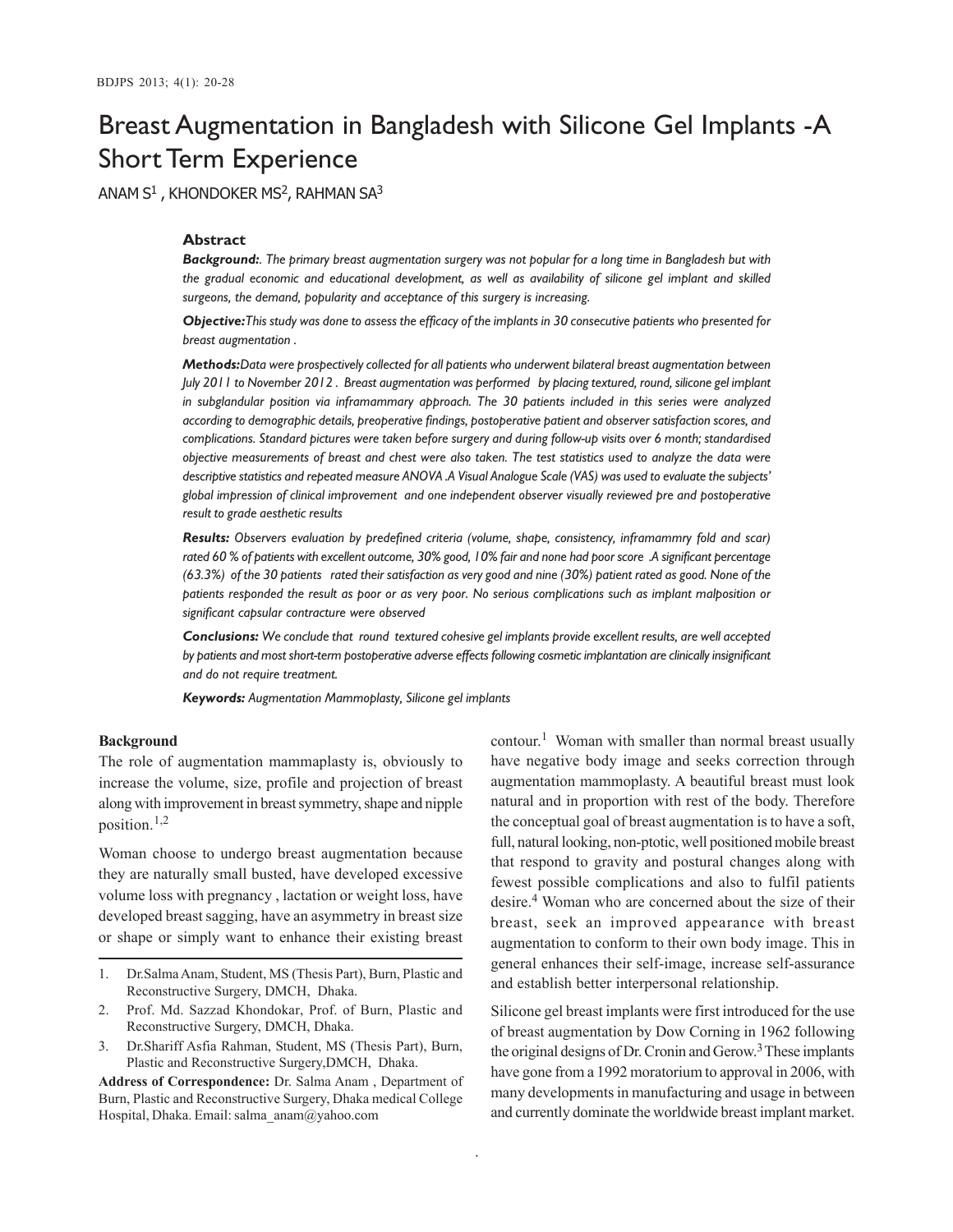# Breast Augmentation in Bangladesh with Silicone Gel Implants -A Short Term Experience

ANAM S $^1$  , KHONDOKER MS $^2$ , RAHMAN SA $^3$ 

# **Abstract**

*Background:. The primary breast augmentation surgery was not popular for a long time in Bangladesh but with the gradual economic and educational development, as well as availability of silicone gel implant and skilled surgeons, the demand, popularity and acceptance of this surgery is increasing.*

*Objective:This study was done to assess the efficacy of the implants in 30 consecutive patients who presented for breast augmentation .*

*Methods:Data were prospectively collected for all patients who underwent bilateral breast augmentation between July 2011 to November 2012 . Breast augmentation was performed by placing textured, round, silicone gel implant in subglandular position via inframammary approach. The 30 patients included in this series were analyzed according to demographic details, preoperative findings, postoperative patient and observer satisfaction scores, and complications. Standard pictures were taken before surgery and during follow-up visits over 6 month; standardised objective measurements of breast and chest were also taken. The test statistics used to analyze the data were descriptive statistics and repeated measure ANOVA .A Visual Analogue Scale (VAS) was used to evaluate the subjects' global impression of clinical improvement and one independent observer visually reviewed pre and postoperative result to grade aesthetic results*

*Results: Observers evaluation by predefined criteria (volume, shape, consistency, inframammry fold and scar) rated 60 % of patients with excellent outcome, 30% good, 10% fair and none had poor score .A significant percentage (63.3%) of the 30 patients rated their satisfaction as very good and nine (30%) patient rated as good. None of the patients responded the result as poor or as very poor. No serious complications such as implant malposition or significant capsular contracture were observed*

*Conclusions: We conclude that round textured cohesive gel implants provide excellent results, are well accepted by patients and most short-term postoperative adverse effects following cosmetic implantation are clinically insignificant and do not require treatment.*

*Keywords: Augmentation Mammoplasty, Silicone gel implants*

#### **Background**

The role of augmentation mammaplasty is, obviously to increase the volume, size, profile and projection of breast along with improvement in breast symmetry, shape and nipple position. $1,2$ 

Woman choose to undergo breast augmentation because they are naturally small busted, have developed excessive volume loss with pregnancy , lactation or weight loss, have developed breast sagging, have an asymmetry in breast size or shape or simply want to enhance their existing breast

- 1. Dr.Salma Anam, Student, MS (Thesis Part), Burn, Plastic and Reconstructive Surgery, DMCH, Dhaka.
- 2. Prof. Md. Sazzad Khondokar, Prof. of Burn, Plastic and Reconstructive Surgery, DMCH, Dhaka.
- 3. Dr.Shariff Asfia Rahman, Student, MS (Thesis Part), Burn, Plastic and Reconstructive Surgery,DMCH, Dhaka.

**Address of Correspondence:** Dr. Salma Anam , Department of Burn, Plastic and Reconstructive Surgery, Dhaka medical College Hospital, Dhaka. Email: salma\_anam@yahoo.com

contour. 1 Woman with smaller than normal breast usually have negative body image and seeks correction through augmentation mammoplasty. A beautiful breast must look natural and in proportion with rest of the body. Therefore the conceptual goal of breast augmentation is to have a soft, full, natural looking, non-ptotic, well positioned mobile breast that respond to gravity and postural changes along with fewest possible complications and also to fulfil patients desire.<sup>4</sup> Woman who are concerned about the size of their breast, seek an improved appearance with breast augmentation to conform to their own body image. This in general enhances their self-image, increase self-assurance and establish better interpersonal relationship.

Silicone gel breast implants were first introduced for the use of breast augmentation by Dow Corning in 1962 following the original designs of Dr. Cronin and Gerow.<sup>3</sup> These implants have gone from a 1992 moratorium to approval in 2006, with many developments in manufacturing and usage in between and currently dominate the worldwide breast implant market.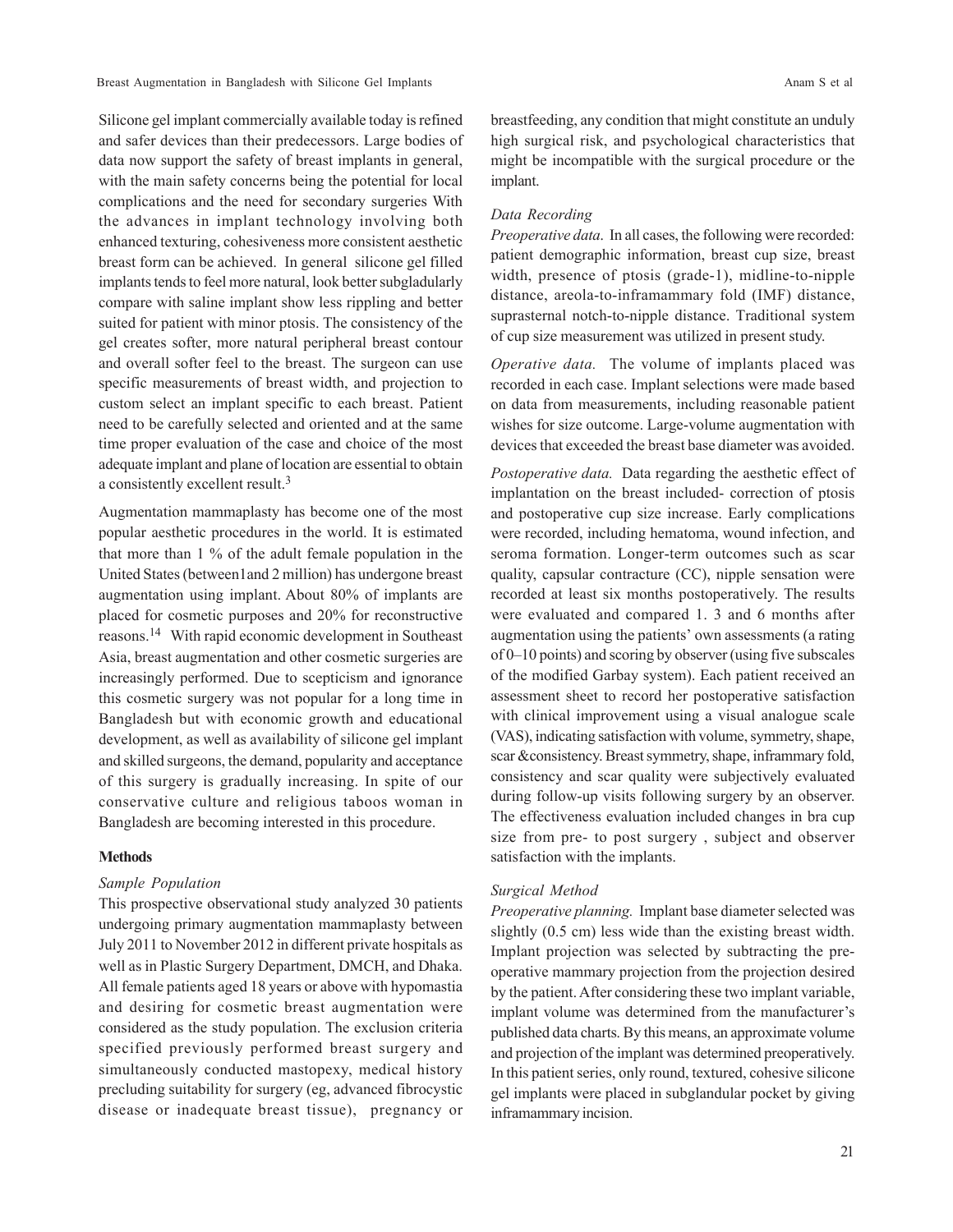Breast Augmentation in Bangladesh with Silicone Gel Implants Anam S et al. Anam S et al.

Silicone gel implant commercially available today is refined and safer devices than their predecessors. Large bodies of data now support the safety of breast implants in general, with the main safety concerns being the potential for local complications and the need for secondary surgeries With the advances in implant technology involving both enhanced texturing, cohesiveness more consistent aesthetic breast form can be achieved. In general silicone gel filled implants tends to feel more natural, look better subgladularly compare with saline implant show less rippling and better suited for patient with minor ptosis. The consistency of the gel creates softer, more natural peripheral breast contour and overall softer feel to the breast. The surgeon can use specific measurements of breast width, and projection to custom select an implant specific to each breast. Patient need to be carefully selected and oriented and at the same time proper evaluation of the case and choice of the most adequate implant and plane of location are essential to obtain a consistently excellent result.<sup>3</sup>

Augmentation mammaplasty has become one of the most popular aesthetic procedures in the world. It is estimated that more than 1 % of the adult female population in the United States (between1and 2 million) has undergone breast augmentation using implant. About 80% of implants are placed for cosmetic purposes and 20% for reconstructive reasons.<sup>14</sup> With rapid economic development in Southeast Asia, breast augmentation and other cosmetic surgeries are increasingly performed. Due to scepticism and ignorance this cosmetic surgery was not popular for a long time in Bangladesh but with economic growth and educational development, as well as availability of silicone gel implant and skilled surgeons, the demand, popularity and acceptance of this surgery is gradually increasing. In spite of our conservative culture and religious taboos woman in Bangladesh are becoming interested in this procedure.

#### **Methods**

## *Sample Population*

This prospective observational study analyzed 30 patients undergoing primary augmentation mammaplasty between July 2011 to November 2012 in different private hospitals as well as in Plastic Surgery Department, DMCH, and Dhaka. All female patients aged 18 years or above with hypomastia and desiring for cosmetic breast augmentation were considered as the study population. The exclusion criteria specified previously performed breast surgery and simultaneously conducted mastopexy, medical history precluding suitability for surgery (eg, advanced fibrocystic disease or inadequate breast tissue), pregnancy or breastfeeding, any condition that might constitute an unduly high surgical risk, and psychological characteristics that might be incompatible with the surgical procedure or the implant.

## *Data Recording*

*Preoperative data*. In all cases, the following were recorded: patient demographic information, breast cup size, breast width, presence of ptosis (grade-1), midline-to-nipple distance, areola-to-inframammary fold (IMF) distance, suprasternal notch-to-nipple distance. Traditional system of cup size measurement was utilized in present study.

*Operative data.* The volume of implants placed was recorded in each case. Implant selections were made based on data from measurements, including reasonable patient wishes for size outcome. Large-volume augmentation with devices that exceeded the breast base diameter was avoided.

*Postoperative data.* Data regarding the aesthetic effect of implantation on the breast included- correction of ptosis and postoperative cup size increase. Early complications were recorded, including hematoma, wound infection, and seroma formation. Longer-term outcomes such as scar quality, capsular contracture (CC), nipple sensation were recorded at least six months postoperatively. The results were evaluated and compared 1. 3 and 6 months after augmentation using the patients' own assessments (a rating of 0–10 points) and scoring by observer (using five subscales of the modified Garbay system). Each patient received an assessment sheet to record her postoperative satisfaction with clinical improvement using a visual analogue scale (VAS), indicating satisfaction with volume, symmetry, shape, scar &consistency. Breast symmetry, shape, inframmary fold, consistency and scar quality were subjectively evaluated during follow-up visits following surgery by an observer. The effectiveness evaluation included changes in bra cup size from pre- to post surgery , subject and observer satisfaction with the implants.

#### *Surgical Method*

*Preoperative planning.* Implant base diameter selected was slightly (0.5 cm) less wide than the existing breast width. Implant projection was selected by subtracting the preoperative mammary projection from the projection desired by the patient. After considering these two implant variable, implant volume was determined from the manufacturer's published data charts. By this means, an approximate volume and projection of the implant was determined preoperatively. In this patient series, only round, textured, cohesive silicone gel implants were placed in subglandular pocket by giving inframammary incision.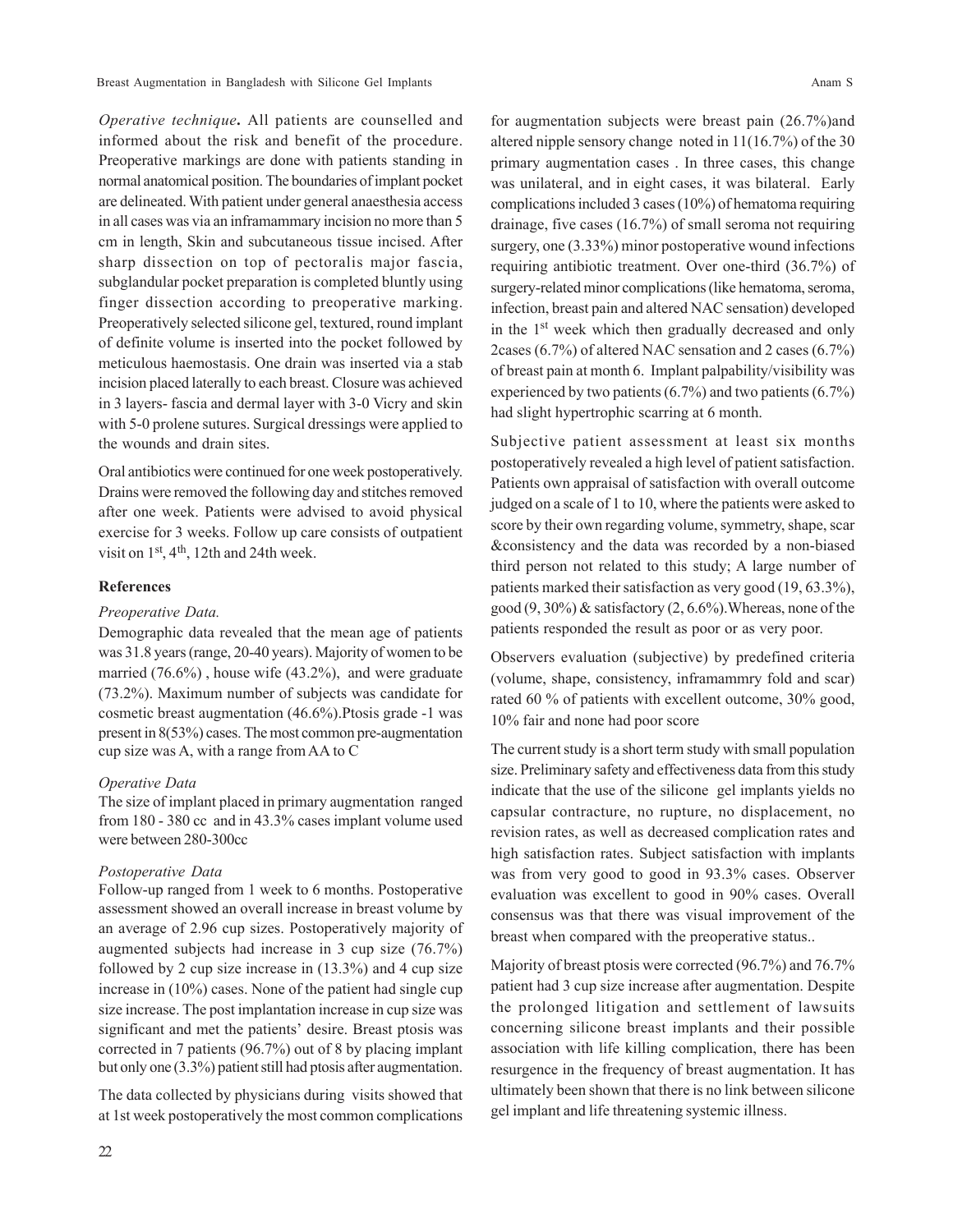Breast Augmentation in Bangladesh with Silicone Gel Implants Anam S

*Operative technique***.** All patients are counselled and informed about the risk and benefit of the procedure. Preoperative markings are done with patients standing in normal anatomical position. The boundaries of implant pocket are delineated. With patient under general anaesthesia access in all cases was via an inframammary incision no more than 5 cm in length, Skin and subcutaneous tissue incised. After sharp dissection on top of pectoralis major fascia, subglandular pocket preparation is completed bluntly using finger dissection according to preoperative marking. Preoperatively selected silicone gel, textured, round implant of definite volume is inserted into the pocket followed by meticulous haemostasis. One drain was inserted via a stab incision placed laterally to each breast. Closure was achieved in 3 layers- fascia and dermal layer with 3-0 Vicry and skin with 5-0 prolene sutures. Surgical dressings were applied to the wounds and drain sites.

Oral antibiotics were continued for one week postoperatively. Drains were removed the following day and stitches removed after one week. Patients were advised to avoid physical exercise for 3 weeks. Follow up care consists of outpatient visit on 1st, 4th, 12th and 24th week.

#### **References**

## *Preoperative Data.*

Demographic data revealed that the mean age of patients was 31.8 years (range, 20-40 years). Majority of women to be married (76.6%) , house wife (43.2%), and were graduate (73.2%). Maximum number of subjects was candidate for cosmetic breast augmentation (46.6%).Ptosis grade -1 was present in 8(53%) cases. The most common pre-augmentation cup size was A, with a range from AA to C

#### *Operative Data*

The size of implant placed in primary augmentation ranged from 180 - 380 cc and in 43.3% cases implant volume used were between 280-300cc

#### *Postoperative Data*

Follow-up ranged from 1 week to 6 months. Postoperative assessment showed an overall increase in breast volume by an average of 2.96 cup sizes. Postoperatively majority of augmented subjects had increase in 3 cup size (76.7%) followed by 2 cup size increase in (13.3%) and 4 cup size increase in (10%) cases. None of the patient had single cup size increase. The post implantation increase in cup size was significant and met the patients' desire. Breast ptosis was corrected in 7 patients (96.7%) out of 8 by placing implant but only one (3.3%) patient still had ptosis after augmentation.

The data collected by physicians during visits showed that at 1st week postoperatively the most common complications

for augmentation subjects were breast pain (26.7%)and altered nipple sensory change noted in 11(16.7%) of the 30 primary augmentation cases . In three cases, this change was unilateral, and in eight cases, it was bilateral. Early complications included 3 cases (10%) of hematoma requiring drainage, five cases (16.7%) of small seroma not requiring surgery, one (3.33%) minor postoperative wound infections requiring antibiotic treatment. Over one-third (36.7%) of surgery-related minor complications (like hematoma, seroma, infection, breast pain and altered NAC sensation) developed in the 1st week which then gradually decreased and only 2cases (6.7%) of altered NAC sensation and 2 cases (6.7%) of breast pain at month 6. Implant palpability/visibility was experienced by two patients (6.7%) and two patients (6.7%) had slight hypertrophic scarring at 6 month.

Subjective patient assessment at least six months postoperatively revealed a high level of patient satisfaction. Patients own appraisal of satisfaction with overall outcome judged on a scale of 1 to 10, where the patients were asked to score by their own regarding volume, symmetry, shape, scar &consistency and the data was recorded by a non-biased third person not related to this study; A large number of patients marked their satisfaction as very good (19, 63.3%), good  $(9, 30\%)$  & satisfactory  $(2, 6.6\%)$ . Whereas, none of the patients responded the result as poor or as very poor.

Observers evaluation (subjective) by predefined criteria (volume, shape, consistency, inframammry fold and scar) rated 60 % of patients with excellent outcome, 30% good, 10% fair and none had poor score

The current study is a short term study with small population size. Preliminary safety and effectiveness data from this study indicate that the use of the silicone gel implants yields no capsular contracture, no rupture, no displacement, no revision rates, as well as decreased complication rates and high satisfaction rates. Subject satisfaction with implants was from very good to good in 93.3% cases. Observer evaluation was excellent to good in 90% cases. Overall consensus was that there was visual improvement of the breast when compared with the preoperative status..

Majority of breast ptosis were corrected (96.7%) and 76.7% patient had 3 cup size increase after augmentation. Despite the prolonged litigation and settlement of lawsuits concerning silicone breast implants and their possible association with life killing complication, there has been resurgence in the frequency of breast augmentation. It has ultimately been shown that there is no link between silicone gel implant and life threatening systemic illness.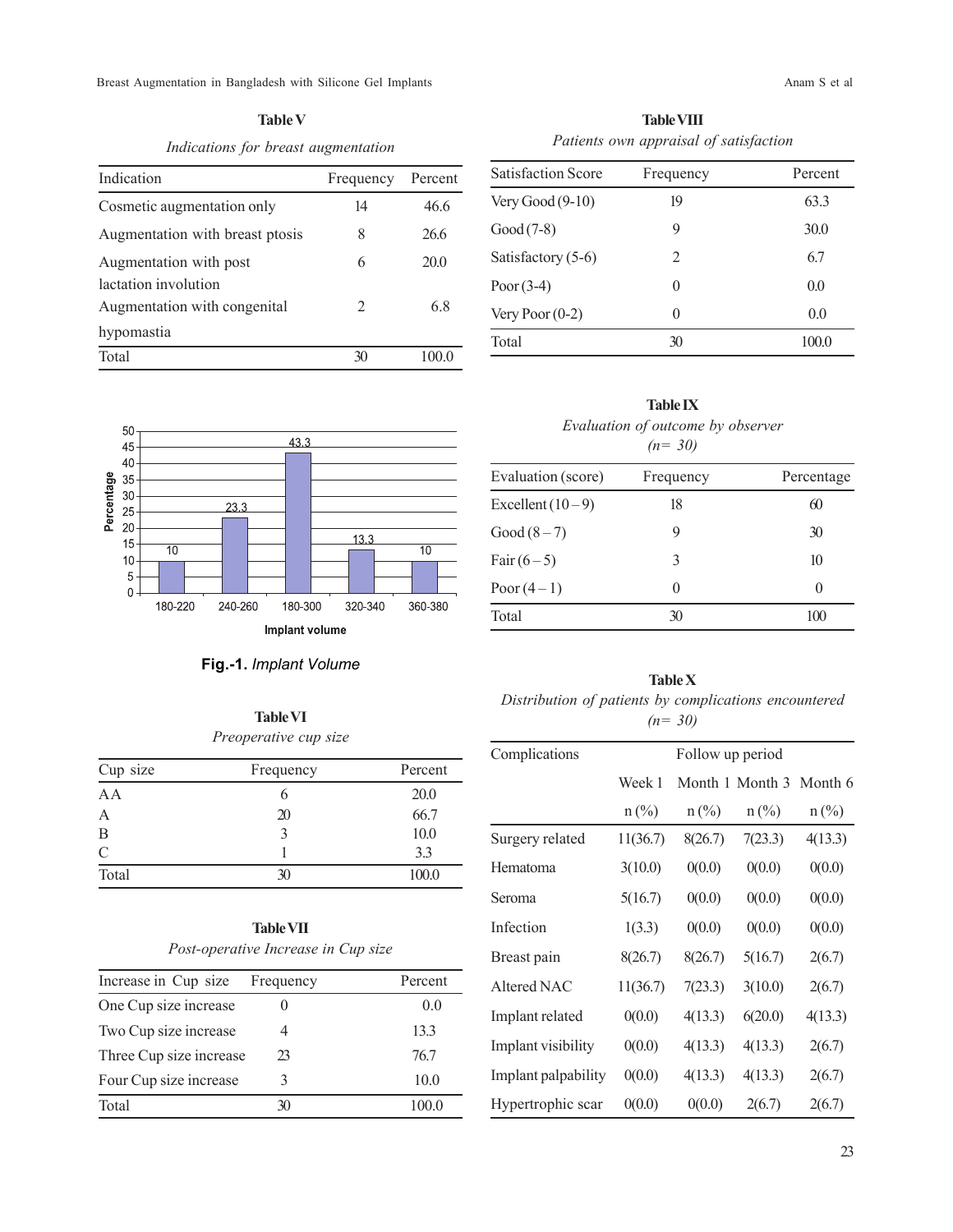Breast Augmentation in Bangladesh with Silicone Gel Implants Anam S et al. Anam S et al.

**Table V** *Indications for breast augmentation*

| Indication                                     | Frequency | Percent |
|------------------------------------------------|-----------|---------|
| Cosmetic augmentation only                     | 14        | 46.6    |
| Augmentation with breast ptosis                | 8         | 26.6    |
| Augmentation with post<br>lactation involution | 6         | 20.0    |
| Augmentation with congenital                   | 2         | 6.8     |
| hypomastia                                     |           |         |
| Total                                          | X         | 100.0   |

**Table VIII** *Patients own appraisal of satisfaction*

| <b>Satisfaction Score</b> | Frequency | Percent |  |
|---------------------------|-----------|---------|--|
| Very Good $(9-10)$        | 19        | 63.3    |  |
| $Good (7-8)$              | 9         | 30.0    |  |
| Satisfactory (5-6)        | 2         | 6.7     |  |
| Poor $(3-4)$              | 0         | 0.0     |  |
| Very Poor $(0-2)$         | 0         | 0.0     |  |
| Total                     | 30        | 100.0   |  |



# **Fig.-1.** *Implant Volume*

**Table VI** *Preoperative cup size*

| Cup size | Frequency | Percent |
|----------|-----------|---------|
| A A      | 6         | 20.0    |
|          | 20        | 66.7    |
| B        | 3         | 10.0    |
| C        |           | 3.3     |
| Total    | 30        | 100.0   |

# **Table VII** *Post-operative Increase in Cup size*

| Increase in Cup size    | Frequency | Percent |
|-------------------------|-----------|---------|
| One Cup size increase   |           | 0.0     |
| Two Cup size increase   |           | 133     |
| Three Cup size increase | 23        | 767     |
| Four Cup size increase  | 3         | 10.0    |
| Total                   | 30        | 100 0   |

| Evaluation (score)<br>Frequency<br>Percentage<br>Excellent $(10-9)$<br>18<br>60<br>Good $(8-7)$<br>30<br>9<br>Fair $(6-5)$<br>10<br>3<br>Poor $(4-1)$<br>$\theta$<br>0 | Evaluation of outcome by observer<br>$(n=30)$ |  |  |  |
|------------------------------------------------------------------------------------------------------------------------------------------------------------------------|-----------------------------------------------|--|--|--|
|                                                                                                                                                                        |                                               |  |  |  |
|                                                                                                                                                                        |                                               |  |  |  |
|                                                                                                                                                                        |                                               |  |  |  |
|                                                                                                                                                                        |                                               |  |  |  |
|                                                                                                                                                                        |                                               |  |  |  |

**Table IX**

# **Table X** *Distribution of patients by complications encountered (n= 30)*

Total 30 100

| Complications       | Follow up period |         |                             |         |
|---------------------|------------------|---------|-----------------------------|---------|
|                     | Week 1           |         | Month 1 Month 3 Month 6     |         |
|                     | $n$ (%)          | $n$ (%) | $n\left(\frac{0}{0}\right)$ | $n$ (%) |
| Surgery related     | 11(36.7)         | 8(26.7) | 7(23.3)                     | 4(13.3) |
| Hematoma            | 3(10.0)          | 0(0.0)  | 0(0.0)                      | 0(0.0)  |
| Seroma              | 5(16.7)          | 0(0.0)  | 0(0.0)                      | 0(0.0)  |
| Infection           | 1(3.3)           | 0(0.0)  | 0(0.0)                      | 0(0.0)  |
| Breast pain         | 8(26.7)          | 8(26.7) | 5(16.7)                     | 2(6.7)  |
| Altered NAC         | 11(36.7)         | 7(23.3) | 3(10.0)                     | 2(6.7)  |
| Implant related     | 0(0.0)           | 4(13.3) | 6(20.0)                     | 4(13.3) |
| Implant visibility  | 0(0.0)           | 4(13.3) | 4(13.3)                     | 2(6.7)  |
| Implant palpability | 0(0.0)           | 4(13.3) | 4(13.3)                     | 2(6.7)  |
| Hypertrophic scar   | 0(0.0)           | 0(0.0)  | 2(6.7)                      | 2(6.7)  |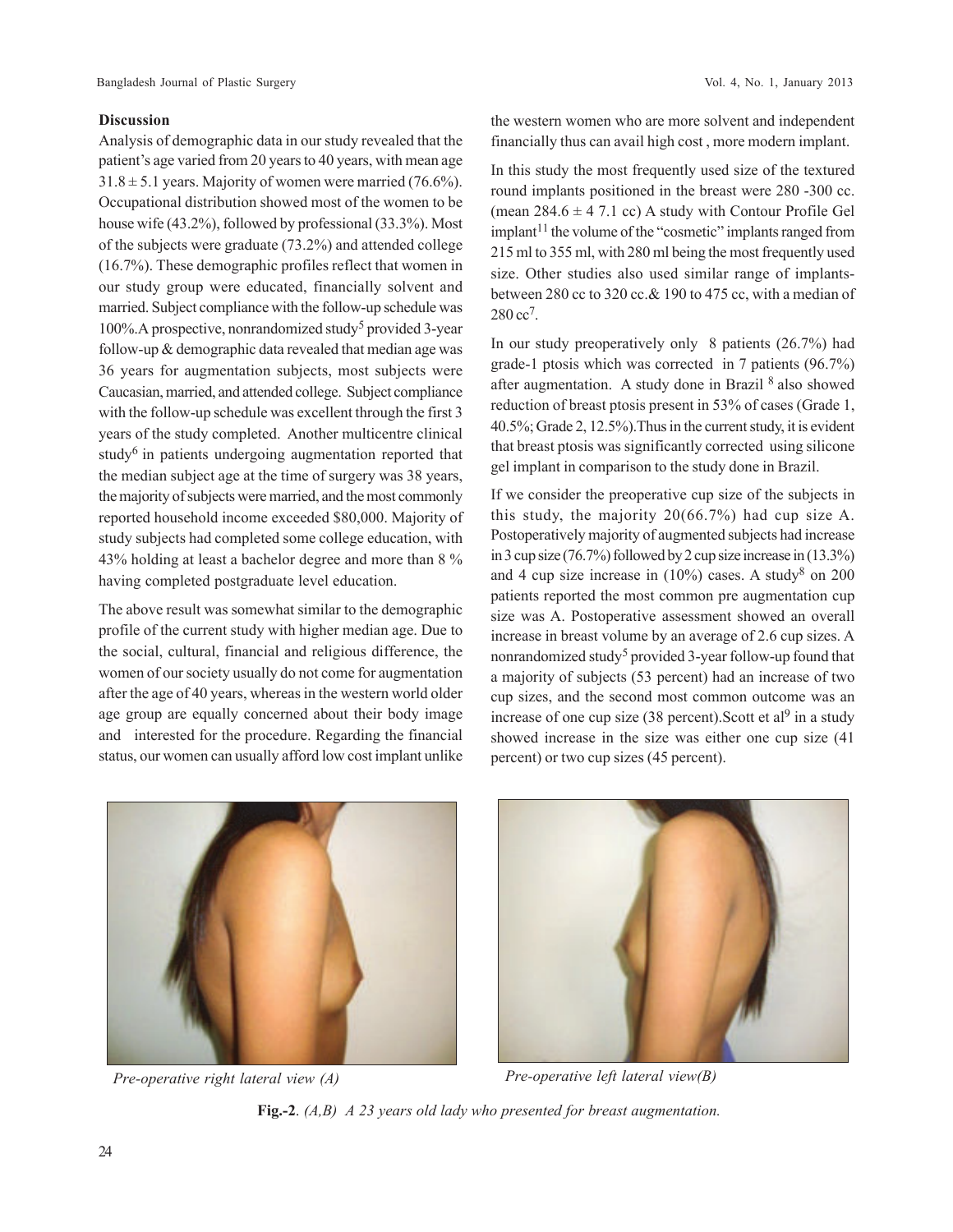## **Discussion**

Analysis of demographic data in our study revealed that the patient's age varied from 20 years to 40 years, with mean age  $31.8 \pm 5.1$  years. Majority of women were married (76.6%). Occupational distribution showed most of the women to be house wife (43.2%), followed by professional (33.3%). Most of the subjects were graduate (73.2%) and attended college (16.7%). These demographic profiles reflect that women in our study group were educated, financially solvent and married. Subject compliance with the follow-up schedule was 100%. A prospective, nonrandomized study<sup>5</sup> provided 3-year follow-up & demographic data revealed that median age was 36 years for augmentation subjects, most subjects were Caucasian, married, and attended college. Subject compliance with the follow-up schedule was excellent through the first 3 years of the study completed. Another multicentre clinical study<sup>6</sup> in patients undergoing augmentation reported that the median subject age at the time of surgery was 38 years, the majority of subjects were married, and the most commonly reported household income exceeded \$80,000. Majority of study subjects had completed some college education, with 43% holding at least a bachelor degree and more than 8 % having completed postgraduate level education.

The above result was somewhat similar to the demographic profile of the current study with higher median age. Due to the social, cultural, financial and religious difference, the women of our society usually do not come for augmentation after the age of 40 years, whereas in the western world older age group are equally concerned about their body image and interested for the procedure. Regarding the financial status, our women can usually afford low cost implant unlike

the western women who are more solvent and independent financially thus can avail high cost , more modern implant.

In this study the most frequently used size of the textured round implants positioned in the breast were 280 -300 cc. (mean  $284.6 \pm 4$  7.1 cc) A study with Contour Profile Gel implant<sup>11</sup> the volume of the "cosmetic" implants ranged from 215 ml to 355 ml, with 280 ml being the most frequently used size. Other studies also used similar range of implantsbetween 280 cc to 320 cc.& 190 to 475 cc, with a median of 280 cc<sup>7</sup>.

In our study preoperatively only 8 patients (26.7%) had grade-1 ptosis which was corrected in 7 patients (96.7%) after augmentation. A study done in Brazil <sup>8</sup> also showed reduction of breast ptosis present in 53% of cases (Grade 1, 40.5%; Grade 2, 12.5%).Thus in the current study, it is evident that breast ptosis was significantly corrected using silicone gel implant in comparison to the study done in Brazil.

If we consider the preoperative cup size of the subjects in this study, the majority 20(66.7%) had cup size A. Postoperatively majority of augmented subjects had increase in 3 cup size (76.7%) followed by 2 cup size increase in (13.3%) and 4 cup size increase in  $(10\%)$  cases. A study<sup>8</sup> on 200 patients reported the most common pre augmentation cup size was A. Postoperative assessment showed an overall increase in breast volume by an average of 2.6 cup sizes. A nonrandomized study<sup>5</sup> provided 3-year follow-up found that a majority of subjects (53 percent) had an increase of two cup sizes, and the second most common outcome was an increase of one cup size  $(38$  percent). Scott et al<sup>9</sup> in a study showed increase in the size was either one cup size (41 percent) or two cup sizes (45 percent).



*Pre-operative right lateral view (A) Pre-operative left lateral view(B)*



**Fig.-2**. *(A,B) A 23 years old lady who presented for breast augmentation.*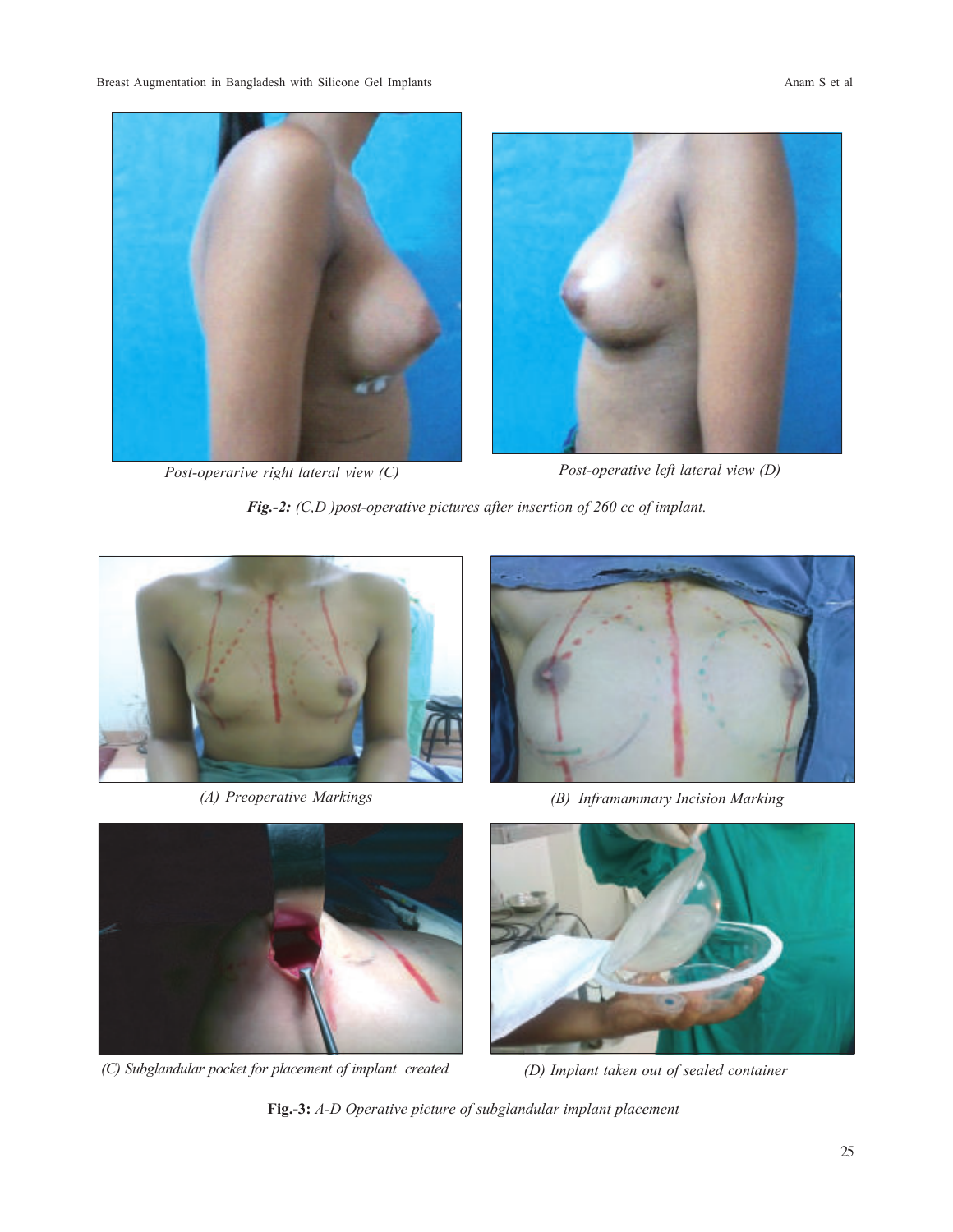Breast Augmentation in Bangladesh with Silicone Gel Implants Anam S et al. Anam S et al.



*Post-operarive right lateral view (C) Post-operative left lateral view (D)*

*Fig.-2: (C,D )post-operative pictures after insertion of 260 cc of implant.*





*(A) Preoperative Markings (B) Inframammary Incision Marking*



*(C) Subglandular pocket for placement of implant created (D) Implant taken out of sealed container*



**Fig.-3:** *A-D Operative picture of subglandular implant placement*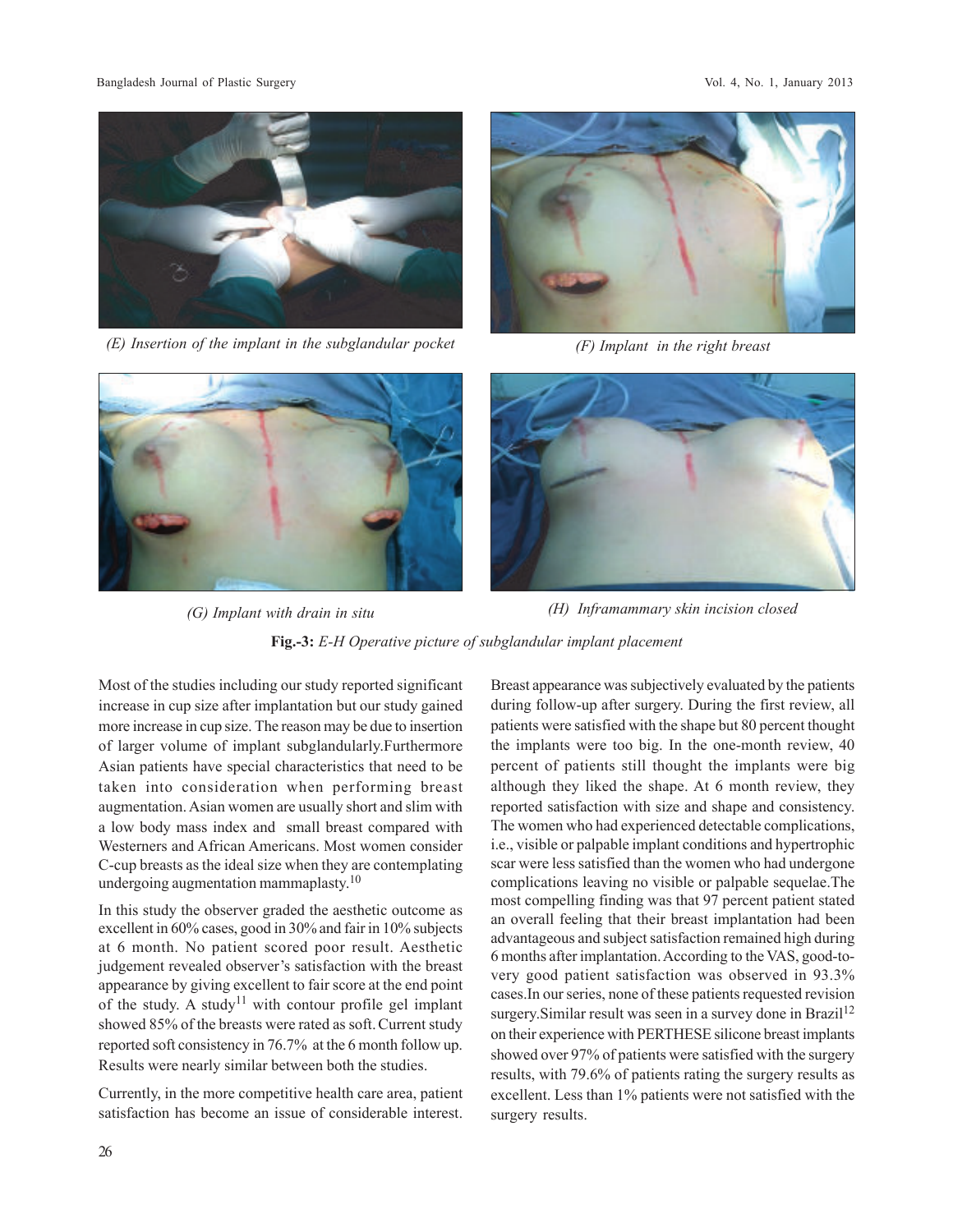Bangladesh Journal of Plastic Surgery Vol. 4, No. 1, January 2013



*(E) Insertion of the implant in the subglandular pocket (F) Implant in the right breast*







**Fig.-3:** *E-H Operative picture of subglandular implant placement (G) Implant with drain in situ (H) Inframammary skin incision closed*

Most of the studies including our study reported significant increase in cup size after implantation but our study gained more increase in cup size. The reason may be due to insertion of larger volume of implant subglandularly.Furthermore Asian patients have special characteristics that need to be taken into consideration when performing breast augmentation. Asian women are usually short and slim with a low body mass index and small breast compared with Westerners and African Americans. Most women consider C-cup breasts as the ideal size when they are contemplating undergoing augmentation mammaplasty.<sup>10</sup>

In this study the observer graded the aesthetic outcome as excellent in 60% cases, good in 30% and fair in 10% subjects at 6 month. No patient scored poor result. Aesthetic judgement revealed observer's satisfaction with the breast appearance by giving excellent to fair score at the end point of the study. A study<sup>11</sup> with contour profile gel implant showed 85% of the breasts were rated as soft. Current study reported soft consistency in 76.7% at the 6 month follow up. Results were nearly similar between both the studies.

Currently, in the more competitive health care area, patient satisfaction has become an issue of considerable interest.

Breast appearance was subjectively evaluated by the patients during follow-up after surgery. During the first review, all patients were satisfied with the shape but 80 percent thought the implants were too big. In the one-month review, 40 percent of patients still thought the implants were big although they liked the shape. At 6 month review, they reported satisfaction with size and shape and consistency. The women who had experienced detectable complications, i.e., visible or palpable implant conditions and hypertrophic scar were less satisfied than the women who had undergone complications leaving no visible or palpable sequelae.The most compelling finding was that 97 percent patient stated an overall feeling that their breast implantation had been advantageous and subject satisfaction remained high during 6 months after implantation. According to the VAS, good-tovery good patient satisfaction was observed in 93.3% cases.In our series, none of these patients requested revision surgery. Similar result was seen in a survey done in Brazil<sup>12</sup> on their experience with PERTHESE silicone breast implants showed over 97% of patients were satisfied with the surgery results, with 79.6% of patients rating the surgery results as excellent. Less than 1% patients were not satisfied with the surgery results.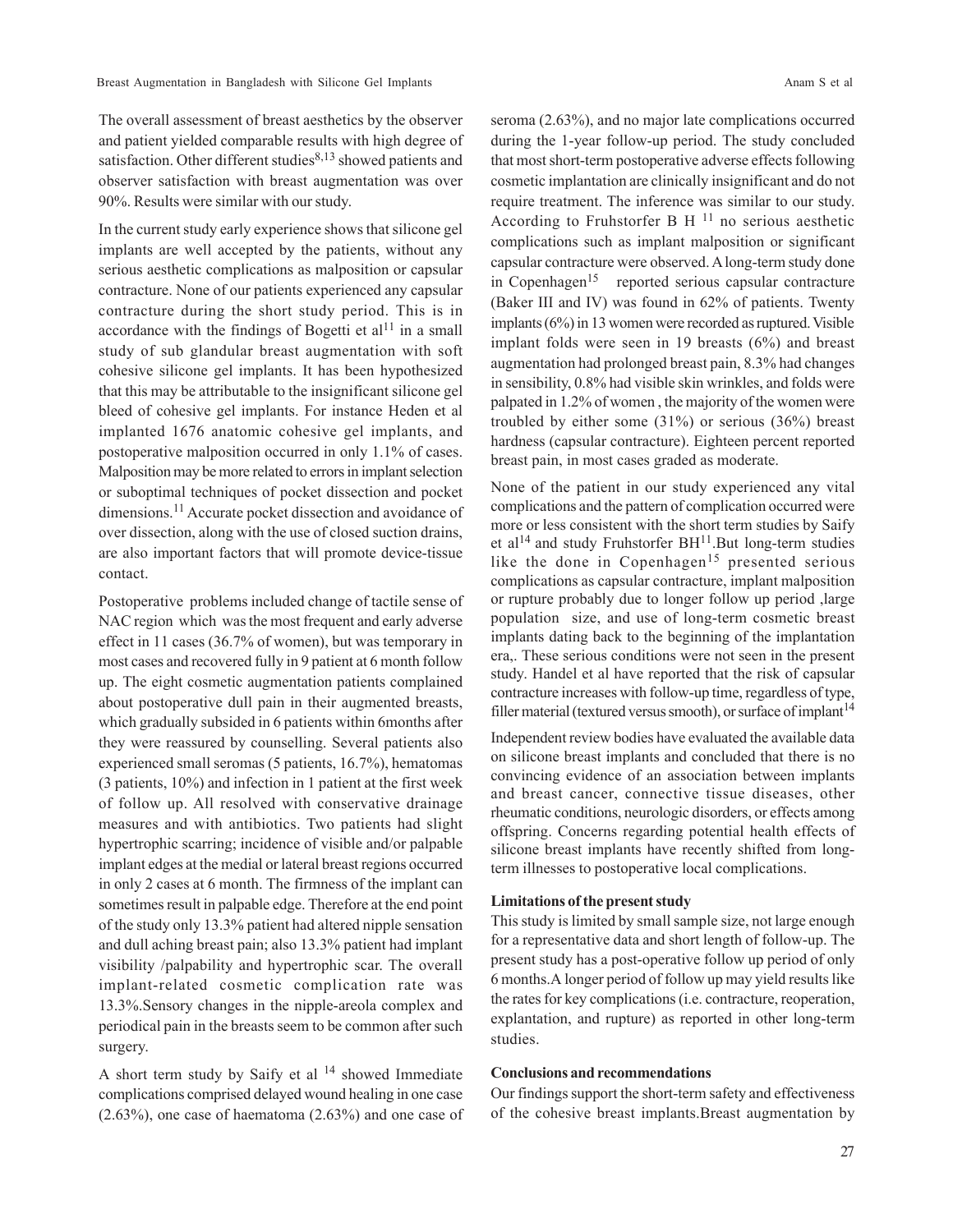The overall assessment of breast aesthetics by the observer and patient yielded comparable results with high degree of satisfaction. Other different studies<sup>8,13</sup> showed patients and observer satisfaction with breast augmentation was over 90%. Results were similar with our study.

In the current study early experience shows that silicone gel implants are well accepted by the patients, without any serious aesthetic complications as malposition or capsular contracture. None of our patients experienced any capsular contracture during the short study period. This is in accordance with the findings of Bogetti et  $al<sup>11</sup>$  in a small study of sub glandular breast augmentation with soft cohesive silicone gel implants. It has been hypothesized that this may be attributable to the insignificant silicone gel bleed of cohesive gel implants. For instance Heden et al implanted 1676 anatomic cohesive gel implants, and postoperative malposition occurred in only 1.1% of cases. Malposition may be more related to errors in implant selection or suboptimal techniques of pocket dissection and pocket dimensions.<sup>11</sup> Accurate pocket dissection and avoidance of over dissection, along with the use of closed suction drains, are also important factors that will promote device-tissue contact.

Postoperative problems included change of tactile sense of NAC region which was the most frequent and early adverse effect in 11 cases (36.7% of women), but was temporary in most cases and recovered fully in 9 patient at 6 month follow up. The eight cosmetic augmentation patients complained about postoperative dull pain in their augmented breasts, which gradually subsided in 6 patients within 6months after they were reassured by counselling. Several patients also experienced small seromas (5 patients, 16.7%), hematomas (3 patients, 10%) and infection in 1 patient at the first week of follow up. All resolved with conservative drainage measures and with antibiotics. Two patients had slight hypertrophic scarring; incidence of visible and/or palpable implant edges at the medial or lateral breast regions occurred in only 2 cases at 6 month. The firmness of the implant can sometimes result in palpable edge. Therefore at the end point of the study only 13.3% patient had altered nipple sensation and dull aching breast pain; also 13.3% patient had implant visibility /palpability and hypertrophic scar. The overall implant-related cosmetic complication rate was 13.3%.Sensory changes in the nipple-areola complex and periodical pain in the breasts seem to be common after such surgery.

A short term study by Saify et al  $14$  showed Immediate complications comprised delayed wound healing in one case (2.63%), one case of haematoma (2.63%) and one case of seroma (2.63%), and no major late complications occurred during the 1-year follow-up period. The study concluded that most short-term postoperative adverse effects following cosmetic implantation are clinically insignificant and do not require treatment. The inference was similar to our study. According to Fruhstorfer B H 11 no serious aesthetic complications such as implant malposition or significant capsular contracture were observed. A long-term study done in Copenhagen<sup>15</sup> reported serious capsular contracture (Baker III and IV) was found in 62% of patients. Twenty implants (6%) in 13 women were recorded as ruptured. Visible implant folds were seen in 19 breasts (6%) and breast augmentation had prolonged breast pain, 8.3% had changes in sensibility, 0.8% had visible skin wrinkles, and folds were palpated in 1.2% of women , the majority of the women were troubled by either some (31%) or serious (36%) breast hardness (capsular contracture). Eighteen percent reported breast pain, in most cases graded as moderate.

None of the patient in our study experienced any vital complications and the pattern of complication occurred were more or less consistent with the short term studies by Saify et al<sup>14</sup> and study Fruhstorfer BH $^{11}$ .But long-term studies like the done in Copenhagen<sup>15</sup> presented serious complications as capsular contracture, implant malposition or rupture probably due to longer follow up period ,large population size, and use of long-term cosmetic breast implants dating back to the beginning of the implantation era,. These serious conditions were not seen in the present study. Handel et al have reported that the risk of capsular contracture increases with follow-up time, regardless of type, filler material (textured versus smooth), or surface of implant<sup>14</sup>

Independent review bodies have evaluated the available data on silicone breast implants and concluded that there is no convincing evidence of an association between implants and breast cancer, connective tissue diseases, other rheumatic conditions, neurologic disorders, or effects among offspring. Concerns regarding potential health effects of silicone breast implants have recently shifted from longterm illnesses to postoperative local complications.

#### **Limitations of the present study**

This study is limited by small sample size, not large enough for a representative data and short length of follow-up. The present study has a post-operative follow up period of only 6 months.A longer period of follow up may yield results like the rates for key complications (i.e. contracture, reoperation, explantation, and rupture) as reported in other long-term studies.

## **Conclusions and recommendations**

Our findings support the short-term safety and effectiveness of the cohesive breast implants.Breast augmentation by